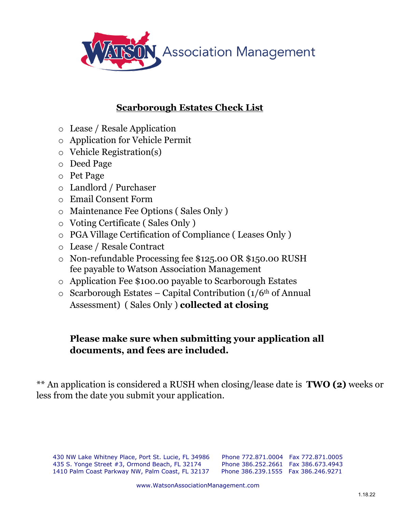

## **Scarborough Estates Check List**

- o Lease / Resale Application
- o Application for Vehicle Permit
- o Vehicle Registration(s)
- o Deed Page
- o Pet Page
- o Landlord / Purchaser
- o Email Consent Form
- o Maintenance Fee Options ( Sales Only )
- o Voting Certificate ( Sales Only )
- o PGA Village Certification of Compliance ( Leases Only )
- o Lease / Resale Contract
- o Non-refundable Processing fee \$125.00 OR \$150.00 RUSH fee payable to Watson Association Management
- o Application Fee \$100.00 payable to Scarborough Estates
- $\circ$  Scarborough Estates Capital Contribution (1/6<sup>th</sup> of Annual Assessment) ( Sales Only ) **collected at closing**

## **Please make sure when submitting your application all documents, and fees are included.**

An application is considered a RUSH when closing/lease date is **TWO (2)** weeks or less from the date you submit your application.

430 NW Lake Whitney Place, Port St. Lucie, FL 34986 Phone 772.871.0004 Fax 772.871.0005 435 S. Yonge Street #3, Ormond Beach, FL 32174 Phone 386.252.2661 Fax 386.673.4943 1410 Palm Coast Parkway NW, Palm Coast, FL 32137 Phone 386.239.1555 Fax 386.246.9271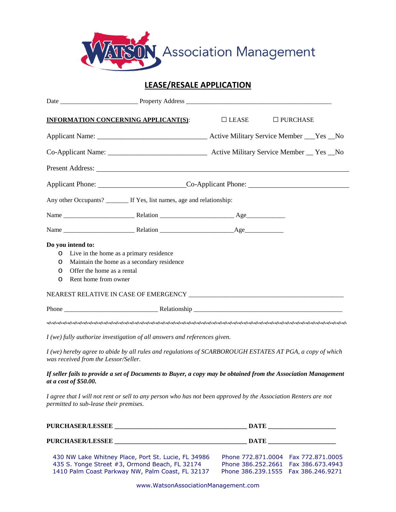

## **LEASE/RESALE APPLICATION**

|   | <b>INFORMATION CONCERNING APPLICANT(S):</b>                                                                                                      | $\Box$ LEASE | $\square$ PURCHASE |
|---|--------------------------------------------------------------------------------------------------------------------------------------------------|--------------|--------------------|
|   |                                                                                                                                                  |              |                    |
|   |                                                                                                                                                  |              |                    |
|   |                                                                                                                                                  |              |                    |
|   | Applicant Phone: Co-Applicant Phone: Co-Applicant Phone:                                                                                         |              |                    |
|   | Any other Occupants? ________ If Yes, list names, age and relationship:                                                                          |              |                    |
|   |                                                                                                                                                  |              |                    |
|   |                                                                                                                                                  |              |                    |
|   | Do you intend to:                                                                                                                                |              |                    |
| O | Live in the home as a primary residence                                                                                                          |              |                    |
| O | Maintain the home as a secondary residence                                                                                                       |              |                    |
| 0 | Offer the home as a rental                                                                                                                       |              |                    |
| O | Rent home from owner                                                                                                                             |              |                    |
|   |                                                                                                                                                  |              |                    |
|   |                                                                                                                                                  |              |                    |
|   |                                                                                                                                                  |              |                    |
|   | I (we) fully authorize investigation of all answers and references given.                                                                        |              |                    |
|   | I (we) hereby agree to abide by all rules and regulations of SCARBOROUGH ESTATES AT PGA, a copy of which<br>was received from the Lessor/Seller. |              |                    |
|   | If seller fails to provide a set of Documents to Buyer, a copy may be obtained from the Association Management<br>at a cost of \$50.00.          |              |                    |
|   | Lagres that Luill not rent or sell to any person who has not been approved by the Association Penters are not                                    |              |                    |

*I agree that I will not rent or sell to any person who has not been approved by the Association Renters are not permitted to sub-lease their premises.*

| PURCHASER/LESSEE                                                                                                                                          |                                                                                                                       |  |
|-----------------------------------------------------------------------------------------------------------------------------------------------------------|-----------------------------------------------------------------------------------------------------------------------|--|
| PURCHASER/LESSEE                                                                                                                                          |                                                                                                                       |  |
| 430 NW Lake Whitney Place, Port St. Lucie, FL 34986<br>435 S. Yonge Street #3, Ormond Beach, FL 32174<br>1410 Palm Coast Parkway NW, Palm Coast, FL 32137 | Phone 772.871.0004 Fax 772.871.0005<br>Phone 386,252,2661  Fax 386,673,4943<br>Phone 386,239,1555    Fax 386,246,9271 |  |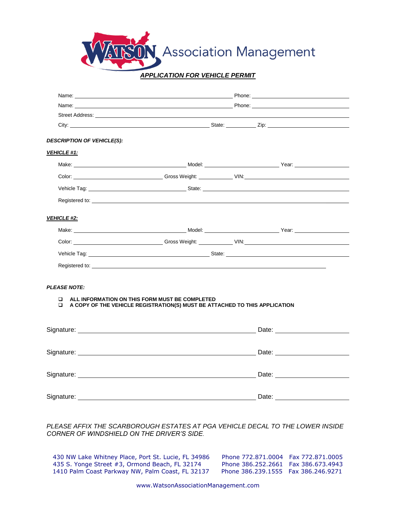**Association Management** 

#### *APPLICATION FOR VEHICLE PERMIT*

|                                                                                                                                                                                                                               | Name: Name and the contract of the contract of the contract of the contract of the contract of the contract of the contract of the contract of the contract of the contract of the contract of the contract of the contract of       |  |  |
|-------------------------------------------------------------------------------------------------------------------------------------------------------------------------------------------------------------------------------|--------------------------------------------------------------------------------------------------------------------------------------------------------------------------------------------------------------------------------------|--|--|
| Name: and the state of the state of the state of the state of the state of the state of the state of the state of the state of the state of the state of the state of the state of the state of the state of the state of the | <b>Example 2018 Phone: Phone: Phone: Phone: Phone: Phone: Phone: Phone: Phone: Phone: Phone: Phone: Phone: Phone: Phone: Phone: Phone: Phone: Phone: Phone: Phone: Phone: Phone:</b>                                                 |  |  |
|                                                                                                                                                                                                                               | Street Address: <u>example and the street and the street and the street and the street and the street and the street and the street and the street and the street and the street and the street and the street and the street an</u> |  |  |
|                                                                                                                                                                                                                               |                                                                                                                                                                                                                                      |  |  |
| DESCRIPTION OF VEHICLE(S):                                                                                                                                                                                                    |                                                                                                                                                                                                                                      |  |  |
| <b>VEHICLE #1:</b>                                                                                                                                                                                                            |                                                                                                                                                                                                                                      |  |  |
|                                                                                                                                                                                                                               |                                                                                                                                                                                                                                      |  |  |
|                                                                                                                                                                                                                               | Color: Color: Color: Color: Color: Color: Color: Color: Color: Color: Color: Color: Color: Color: Color: Color: Color: Color: Color: Color: Color: Color: Color: Color: Color: Color: Color: Color: Color: Color: Color: Color       |  |  |
|                                                                                                                                                                                                                               |                                                                                                                                                                                                                                      |  |  |
|                                                                                                                                                                                                                               | Registered to: the contract of the contract of the contract of the contract of the contract of the contract of the contract of the contract of the contract of the contract of the contract of the contract of the contract of       |  |  |
| VEHICLE #2:                                                                                                                                                                                                                   |                                                                                                                                                                                                                                      |  |  |
|                                                                                                                                                                                                                               | Make: National Communication of the Model: Nodel: Nodel: National Communication of the Vear: New Year: New Year                                                                                                                      |  |  |
|                                                                                                                                                                                                                               |                                                                                                                                                                                                                                      |  |  |
|                                                                                                                                                                                                                               |                                                                                                                                                                                                                                      |  |  |
|                                                                                                                                                                                                                               | Registered to: the contract of the contract of the contract of the contract of the contract of the contract of the contract of the contract of the contract of the contract of the contract of the contract of the contract of       |  |  |
|                                                                                                                                                                                                                               |                                                                                                                                                                                                                                      |  |  |
| <b>PLEASE NOTE:</b>                                                                                                                                                                                                           |                                                                                                                                                                                                                                      |  |  |
| $\Box$<br>◻                                                                                                                                                                                                                   | ALL INFORMATION ON THIS FORM MUST BE COMPLETED<br>A COPY OF THE VEHICLE REGISTRATION(S) MUST BE ATTACHED TO THIS APPLICATION                                                                                                         |  |  |
|                                                                                                                                                                                                                               |                                                                                                                                                                                                                                      |  |  |
|                                                                                                                                                                                                                               |                                                                                                                                                                                                                                      |  |  |
|                                                                                                                                                                                                                               |                                                                                                                                                                                                                                      |  |  |
|                                                                                                                                                                                                                               |                                                                                                                                                                                                                                      |  |  |
|                                                                                                                                                                                                                               |                                                                                                                                                                                                                                      |  |  |
|                                                                                                                                                                                                                               |                                                                                                                                                                                                                                      |  |  |
|                                                                                                                                                                                                                               |                                                                                                                                                                                                                                      |  |  |
|                                                                                                                                                                                                                               |                                                                                                                                                                                                                                      |  |  |

*PLEASE AFFIX THE SCARBOROUGH ESTATES AT PGA VEHICLE DECAL TO THE LOWER INSIDE CORNER OF WINDSHIELD ON THE DRIVER'S SIDE*.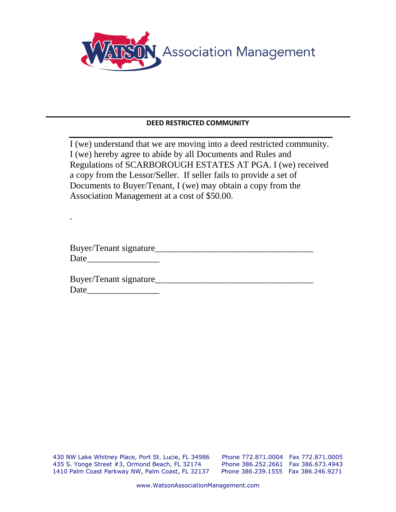

### **DEED RESTRICTED COMMUNITY**

I (we) understand that we are moving into a deed restricted community. I (we) hereby agree to abide by all Documents and Rules and Regulations of SCARBOROUGH ESTATES AT PGA. I (we) received a copy from the Lessor/Seller. If seller fails to provide a set of Documents to Buyer/Tenant, I (we) may obtain a copy from the Association Management at a cost of \$50.00.

| Buyer/Tenant signature  |  |
|-------------------------|--|
| Date                    |  |
|                         |  |
| Buyer/Tenant signature_ |  |

Date\_\_\_\_\_\_\_\_\_\_\_\_\_\_\_\_

.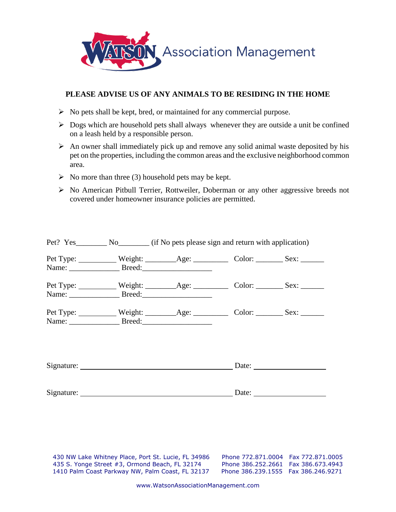

### **PLEASE ADVISE US OF ANY ANIMALS TO BE RESIDING IN THE HOME**

- ➢ No pets shall be kept, bred, or maintained for any commercial purpose.
- ➢ Dogs which are household pets shall always whenever they are outside a unit be confined on a leash held by a responsible person.
- $\triangleright$  An owner shall immediately pick up and remove any solid animal waste deposited by his pet on the properties, including the common areas and the exclusive neighborhood common area.
- $\triangleright$  No more than three (3) household pets may be kept.
- ➢ No American Pitbull Terrier, Rottweiler, Doberman or any other aggressive breeds not covered under homeowner insurance policies are permitted.

|  |                        | Pet? Yes No No (if No pets please sign and return with application) |  |  |  |
|--|------------------------|---------------------------------------------------------------------|--|--|--|
|  |                        |                                                                     |  |  |  |
|  | Name: Breed: Breed:    |                                                                     |  |  |  |
|  |                        |                                                                     |  |  |  |
|  |                        |                                                                     |  |  |  |
|  |                        |                                                                     |  |  |  |
|  |                        |                                                                     |  |  |  |
|  |                        |                                                                     |  |  |  |
|  | Signature: Date: Date: |                                                                     |  |  |  |
|  |                        |                                                                     |  |  |  |
|  |                        |                                                                     |  |  |  |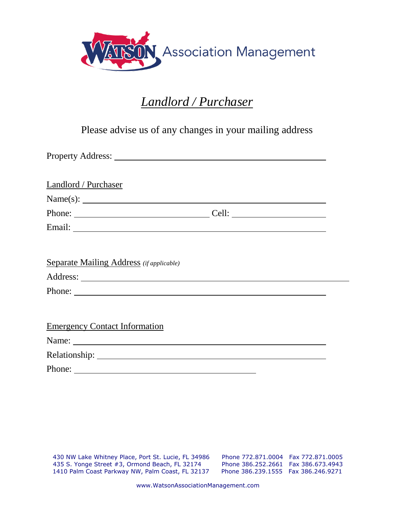

## *Landlord / Purchaser*

Please advise us of any changes in your mailing address

| Landlord / Purchaser                                                                                                                                                                                                           |                       |
|--------------------------------------------------------------------------------------------------------------------------------------------------------------------------------------------------------------------------------|-----------------------|
| Name(s): $\qquad \qquad$                                                                                                                                                                                                       |                       |
|                                                                                                                                                                                                                                | Cell: $\qquad \qquad$ |
|                                                                                                                                                                                                                                |                       |
| <b>Separate Mailing Address</b> (if applicable)                                                                                                                                                                                |                       |
|                                                                                                                                                                                                                                |                       |
|                                                                                                                                                                                                                                |                       |
|                                                                                                                                                                                                                                |                       |
| <b>Emergency Contact Information</b>                                                                                                                                                                                           |                       |
| Name: Name and the second state of the second state of the second state of the second state of the second state of the second state of the second state of the second state of the second state of the second state of the sec |                       |
|                                                                                                                                                                                                                                |                       |
| Phone:                                                                                                                                                                                                                         |                       |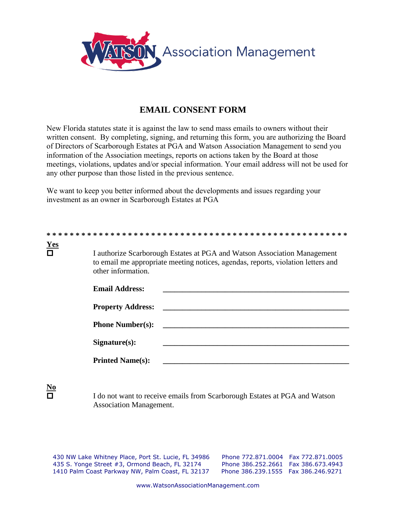

## **EMAIL CONSENT FORM**

New Florida statutes state it is against the law to send mass emails to owners without their written consent. By completing, signing, and returning this form, you are authorizing the Board of Directors of Scarborough Estates at PGA and Watson Association Management to send you information of the Association meetings, reports on actions taken by the Board at those meetings, violations, updates and/or special information. Your email address will not be used for any other purpose than those listed in the previous sentence.

We want to keep you better informed about the developments and issues regarding your investment as an owner in Scarborough Estates at PGA

| <b>Yes</b><br>$\Box$ | I authorize Scarborough Estates at PGA and Watson Association Management<br>to email me appropriate meeting notices, agendas, reports, violation letters and<br>other information. |
|----------------------|------------------------------------------------------------------------------------------------------------------------------------------------------------------------------------|
|                      | <b>Email Address:</b>                                                                                                                                                              |
|                      | <b>Property Address:</b>                                                                                                                                                           |
|                      | <b>Phone Number(s):</b>                                                                                                                                                            |
|                      | Signature(s):                                                                                                                                                                      |
|                      | <b>Printed Name(s):</b>                                                                                                                                                            |
|                      |                                                                                                                                                                                    |

**No**

 I do not want to receive emails from Scarborough Estates at PGA and Watson Association Management.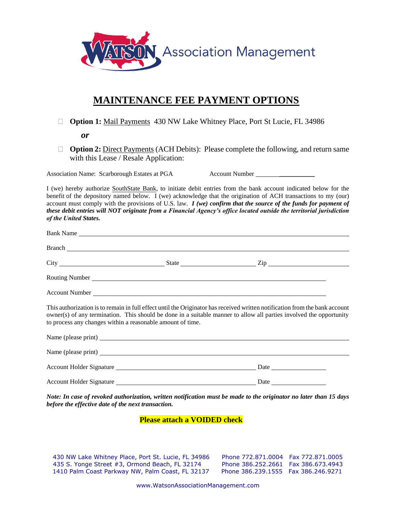

## **MAINTENANCE FEE PAYMENT OPTIONS**

□ **Option 1:** Mail Payments 430 NW Lake Whitney Place, Port St Lucie, FL 34986

*or*

□ **Option 2:** Direct Payments (ACH Debits): Please complete the following, and return same with this Lease / Resale Application:

Association Name: Scarborough Estates at PGA Account Number \_\_\_\_\_\_\_\_\_\_\_\_\_\_\_\_\_\_\_\_

I (we) hereby authorize SouthState Bank, to initiate debit entries from the bank account indicated below for the benefit of the depository named below. I (we) acknowledge that the origination of ACH transactions to my (our) account must comply with the provisions of U.S. law. *I (we) confirm that the source of the funds for payment of these debit entries will NOT originate from a Financial Agency's office located outside the territorial jurisdiction of the United States.* 

| Bank Name                                                                                                                                                                                                                                                                                                        |      |  |
|------------------------------------------------------------------------------------------------------------------------------------------------------------------------------------------------------------------------------------------------------------------------------------------------------------------|------|--|
|                                                                                                                                                                                                                                                                                                                  |      |  |
|                                                                                                                                                                                                                                                                                                                  |      |  |
|                                                                                                                                                                                                                                                                                                                  |      |  |
| Account Number League and Second Second Second Second Second Second Second Second Second Second Second Second Second Second Second Second Second Second Second Second Second Second Second Second Second Second Second Second                                                                                    |      |  |
| This authorization is to remain in full effect until the Originator has received written notification from the bank account<br>owner(s) of any termination. This should be done in a suitable manner to allow all parties involved the opportunity<br>to process any changes within a reasonable amount of time. |      |  |
|                                                                                                                                                                                                                                                                                                                  |      |  |
|                                                                                                                                                                                                                                                                                                                  |      |  |
| Account Holder Signature                                                                                                                                                                                                                                                                                         |      |  |
| <b>Account Holder Signature</b>                                                                                                                                                                                                                                                                                  | Date |  |

*Note: In case of revoked authorization, written notification must be made to the originator no later than 15 days before the effective date of the next transaction.*

#### **Please attach a VOIDED check**

430 NW Lake Whitney Place, Port St. Lucie, FL 34986 Phone 772.871.0004 Fax 772.871.0005 435 S. Yonge Street #3, Ormond Beach, FL 32174 Phone 386.252.2661 Fax 386.673.4943 1410 Palm Coast Parkway NW, Palm Coast, FL 32137 Phone 386.239.1555 Fax 386.246.9271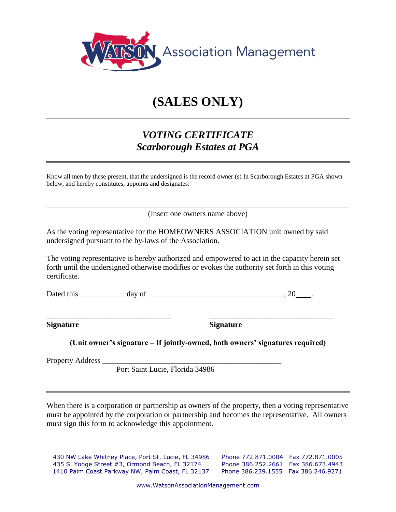

# **(SALES ONLY)**

## *VOTING CERTIFICATE Scarborough Estates at PGA*

Know all men by these present, that the undersigned is the record owner (s) In Scarborough Estates at PGA shown below, and hereby constitutes, appoints and designates:

\_\_\_\_\_\_\_\_\_\_\_\_\_\_\_\_\_\_\_\_\_\_\_\_\_\_\_\_\_\_\_\_\_\_\_\_\_\_\_\_\_\_\_\_\_\_\_\_\_\_\_\_\_\_\_\_\_\_\_\_\_\_\_\_\_\_\_\_\_\_\_\_\_\_\_\_\_\_ (Insert one owners name above)

As the voting representative for the HOMEOWNERS ASSOCIATION unit owned by said undersigned pursuant to the by-laws of the Association.

The voting representative is hereby authorized and empowered to act in the capacity herein set forth until the undersigned otherwise modifies or evokes the authority set forth in this voting certificate.

\_\_\_\_\_\_\_\_\_\_\_\_\_\_\_\_\_\_\_\_\_\_\_\_\_\_\_\_\_\_\_\_ \_\_\_\_\_\_\_\_\_\_\_\_\_\_\_\_\_\_\_\_\_\_\_\_\_\_\_\_\_\_\_\_

Dated this day of the control of the control of the control of the control of the control of the control of the control of the control of the control of the control of the control of the control of the control of the contr

**Signature Signature**

|  |  |  |  | (Unit owner's signature – If jointly-owned, both owners' signatures required) |  |
|--|--|--|--|-------------------------------------------------------------------------------|--|

Property Address

Port Saint Lucie, Florida 34986

When there is a corporation or partnership as owners of the property, then a voting representative must be appointed by the corporation or partnership and becomes the representative. All owners must sign this form to acknowledge this appointment.

430 NW Lake Whitney Place, Port St. Lucie, FL 34986 Phone 772.871.0004 Fax 772.871.0005 435 S. Yonge Street #3, Ormond Beach, FL 32174 Phone 386.252.2661 Fax 386.673.4943 1410 Palm Coast Parkway NW, Palm Coast, FL 32137 Phone 386.239.1555 Fax 386.246.9271